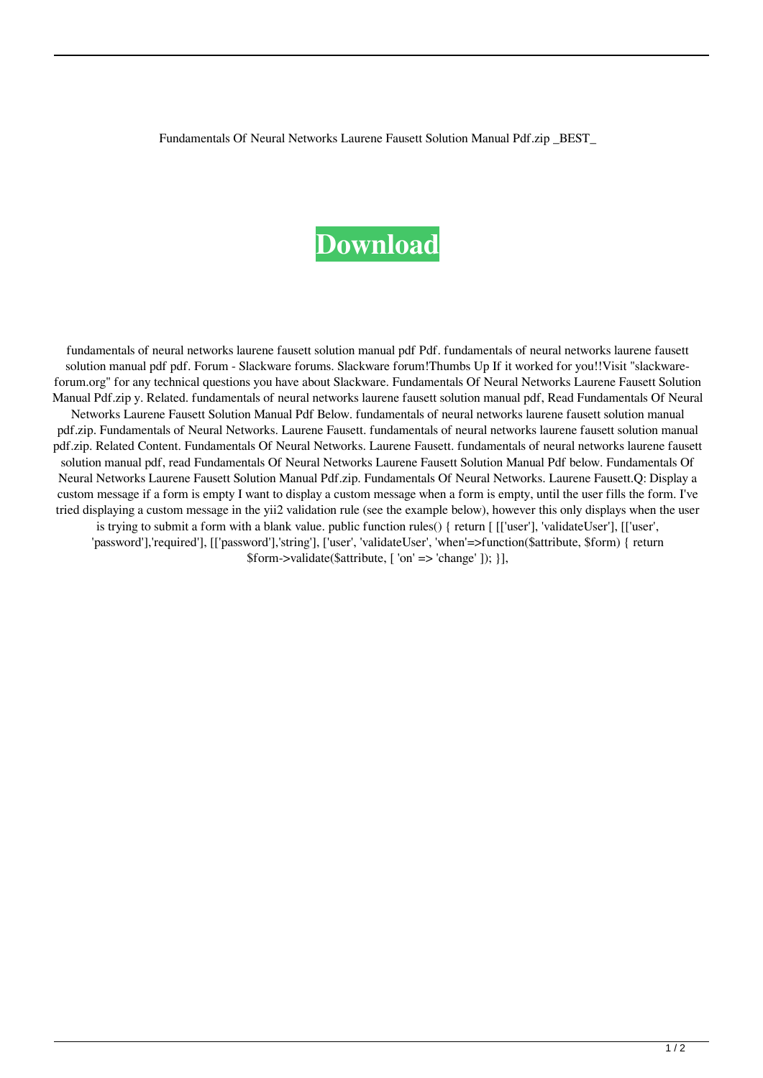Fundamentals Of Neural Networks Laurene Fausett Solution Manual Pdf.zip \_BEST\_

## **[Download](https://urluso.com/2l0ejr)**

fundamentals of neural networks laurene fausett solution manual pdf Pdf. fundamentals of neural networks laurene fausett solution manual pdf pdf. Forum - Slackware forums. Slackware forum!Thumbs Up If it worked for you!!Visit "slackwareforum.org" for any technical questions you have about Slackware. Fundamentals Of Neural Networks Laurene Fausett Solution Manual Pdf.zip y. Related. fundamentals of neural networks laurene fausett solution manual pdf, Read Fundamentals Of Neural Networks Laurene Fausett Solution Manual Pdf Below. fundamentals of neural networks laurene fausett solution manual pdf.zip. Fundamentals of Neural Networks. Laurene Fausett. fundamentals of neural networks laurene fausett solution manual pdf.zip. Related Content. Fundamentals Of Neural Networks. Laurene Fausett. fundamentals of neural networks laurene fausett solution manual pdf, read Fundamentals Of Neural Networks Laurene Fausett Solution Manual Pdf below. Fundamentals Of Neural Networks Laurene Fausett Solution Manual Pdf.zip. Fundamentals Of Neural Networks. Laurene Fausett.Q: Display a custom message if a form is empty I want to display a custom message when a form is empty, until the user fills the form. I've tried displaying a custom message in the yii2 validation rule (see the example below), however this only displays when the user is trying to submit a form with a blank value. public function rules() { return [ [['user'], 'validateUser'], [['user', 'password'],'required'], [['password'],'string'], ['user', 'validateUser', 'when'=>function(\$attribute, \$form) { return \$form->validate(\$attribute, [ 'on' => 'change' ]); }],